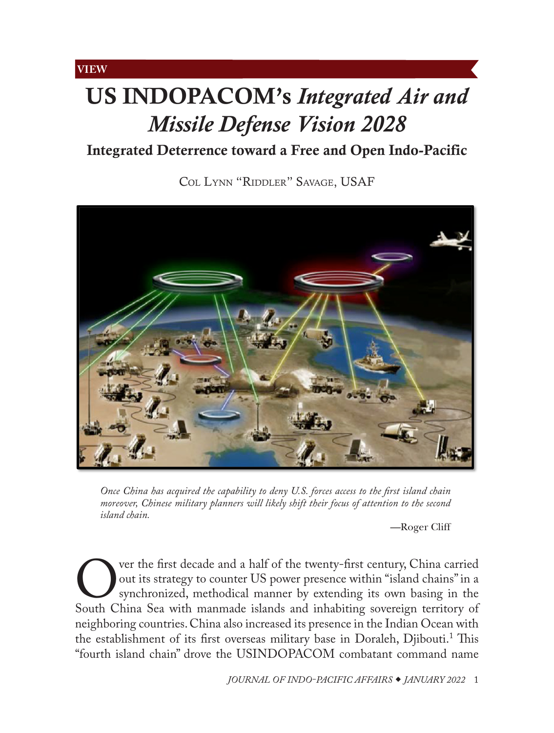## <span id="page-0-0"></span>**VIEW**

# US INDOPACOM's *Integrated Air and Missile Defense Vision 2028*

Integrated Deterrence toward a Free and Open Indo-Pacific

Col [Lynn "Riddler" Savage, USAF](#page-8-0)



*Once China has acquired the capability to deny U.S. forces access to the first island chain moreover, Chinese military planners will likely shift their focus of attention to the second island chain.*

—Roger Cliff

Over the first decade and a half of the twenty-first century, China carried<br>
out its strategy to counter US power presence within "island chains" in a<br>
South China Sea with manmade islands and inhabiting sovereign territor out its strategy to counter US power presence within "island chains" in a synchronized, methodical manner by extending its own basing in the neighboring countries. China also increased its presence in the Indian Ocean with the establishment of its first overseas military base in Doraleh, Djibouti.<sup>1</sup> This "fourth island chain" drove the USINDOPACOM combatant command name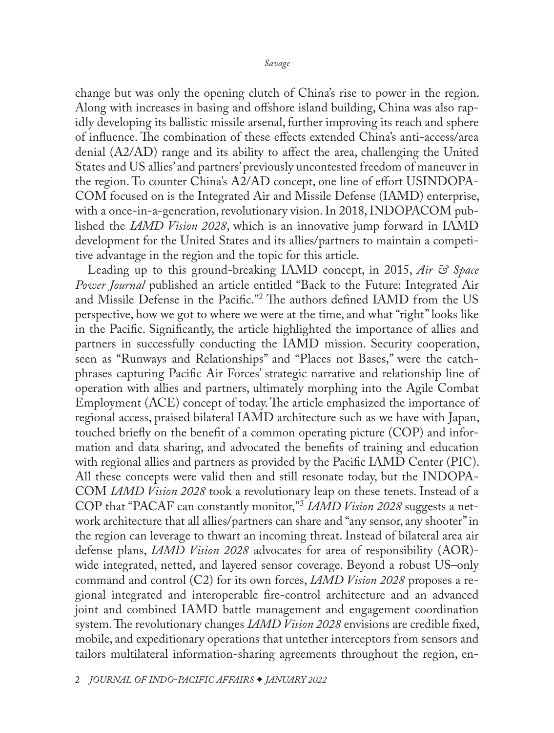change but was only the opening clutch of China's rise to power in the region. Along with increases in basing and offshore island building, China was also rapidly developing its ballistic missile arsenal, further improving its reach and sphere of influence. The combination of these effects extended China's anti-access/area denial (A2/AD) range and its ability to affect the area, challenging the United States and US allies' and partners' previously uncontested freedom of maneuver in the region. To counter China's A2/AD concept, one line of effort USINDOPA-COM focused on is the Integrated Air and Missile Defense (IAMD) enterprise, with a once-in-a-generation, revolutionary vision. In 2018, INDOPACOM published the *IAMD Vision 2028*, which is an innovative jump forward in IAMD development for the United States and its allies/partners to maintain a competitive advantage in the region and the topic for this article.

Leading up to this ground-breaking IAMD concept, in 2015, *Air & Space Power Journal* published an article entitled "Back to the Future: Integrated Air and Missile Defense in the Pacific."2 The authors defined IAMD from the US perspective, how we got to where we were at the time, and what "right" looks like in the Pacific. Significantly, the article highlighted the importance of allies and partners in successfully conducting the IAMD mission. Security cooperation, seen as "Runways and Relationships" and "Places not Bases," were the catchphrases capturing Pacific Air Forces' strategic narrative and relationship line of operation with allies and partners, ultimately morphing into the Agile Combat Employment (ACE) concept of today. The article emphasized the importance of regional access, praised bilateral IAMD architecture such as we have with Japan, touched briefly on the benefit of a common operating picture (COP) and information and data sharing, and advocated the benefits of training and education with regional allies and partners as provided by the Pacific IAMD Center (PIC). All these concepts were valid then and still resonate today, but the INDOPA-COM *IAMD Vision 2028* took a revolutionary leap on these tenets. Instead of a COP that "PACAF can constantly monitor,"<sup>3</sup> *IAMD Vision 2028* suggests a network architecture that all allies/partners can share and "any sensor, any shooter" in the region can leverage to thwart an incoming threat. Instead of bilateral area air defense plans, *IAMD Vision 2028* advocates for area of responsibility (AOR) wide integrated, netted, and layered sensor coverage. Beyond a robust US–only command and control (C2) for its own forces, *IAMD Vision 2028* proposes a regional integrated and interoperable fire-control architecture and an advanced joint and combined IAMD battle management and engagement coordination system. The revolutionary changes *IAMD Vision 2028* envisions are credible fixed, mobile, and expeditionary operations that untether interceptors from sensors and tailors multilateral information-sharing agreements throughout the region, en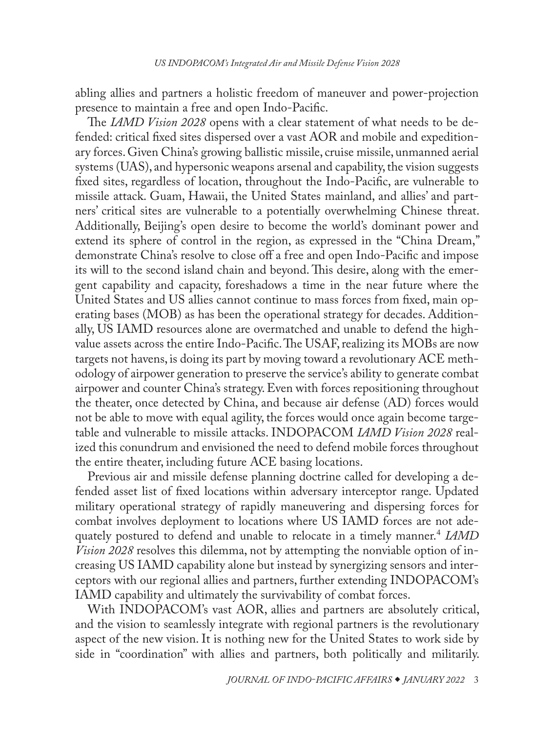abling allies and partners a holistic freedom of maneuver and power-projection presence to maintain a free and open Indo-Pacific.

The *IAMD Vision 2028* opens with a clear statement of what needs to be defended: critical fixed sites dispersed over a vast AOR and mobile and expeditionary forces. Given China's growing ballistic missile, cruise missile, unmanned aerial systems (UAS), and hypersonic weapons arsenal and capability, the vision suggests fixed sites, regardless of location, throughout the Indo-Pacific, are vulnerable to missile attack. Guam, Hawaii, the United States mainland, and allies' and partners' critical sites are vulnerable to a potentially overwhelming Chinese threat. Additionally, Beijing's open desire to become the world's dominant power and extend its sphere of control in the region, as expressed in the "China Dream," demonstrate China's resolve to close off a free and open Indo-Pacific and impose its will to the second island chain and beyond. This desire, along with the emergent capability and capacity, foreshadows a time in the near future where the United States and US allies cannot continue to mass forces from fixed, main operating bases (MOB) as has been the operational strategy for decades. Additionally, US IAMD resources alone are overmatched and unable to defend the highvalue assets across the entire Indo-Pacific. The USAF, realizing its MOBs are now targets not havens, is doing its part by moving toward a revolutionary ACE methodology of airpower generation to preserve the service's ability to generate combat airpower and counter China's strategy. Even with forces repositioning throughout the theater, once detected by China, and because air defense (AD) forces would not be able to move with equal agility, the forces would once again become targetable and vulnerable to missile attacks. INDOPACOM *IAMD Vision 2028* realized this conundrum and envisioned the need to defend mobile forces throughout the entire theater, including future ACE basing locations.

Previous air and missile defense planning doctrine called for developing a defended asset list of fixed locations within adversary interceptor range. Updated military operational strategy of rapidly maneuvering and dispersing forces for combat involves deployment to locations where US IAMD forces are not adequately postured to defend and unable to relocate in a timely manner.<sup>4</sup> *IAMD Vision 2028* resolves this dilemma, not by attempting the nonviable option of increasing US IAMD capability alone but instead by synergizing sensors and interceptors with our regional allies and partners, further extending INDOPACOM's IAMD capability and ultimately the survivability of combat forces.

With INDOPACOM's vast AOR, allies and partners are absolutely critical, and the vision to seamlessly integrate with regional partners is the revolutionary aspect of the new vision. It is nothing new for the United States to work side by side in "coordination" with allies and partners, both politically and militarily.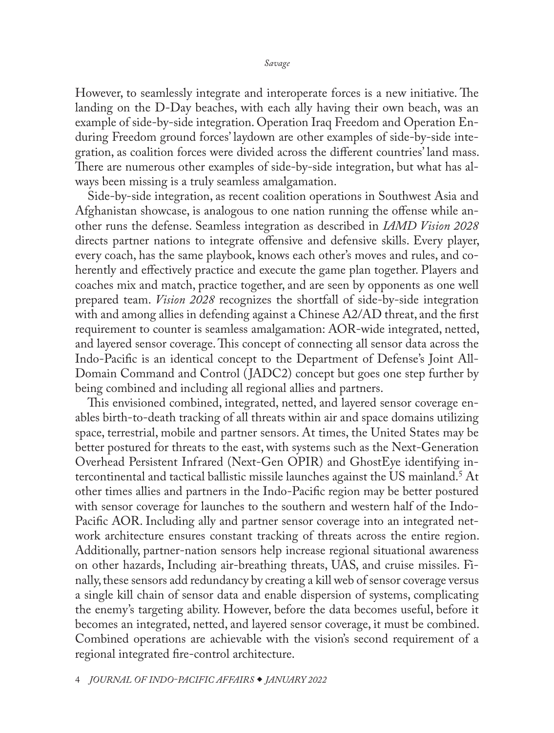However, to seamlessly integrate and interoperate forces is a new initiative. The landing on the D-Day beaches, with each ally having their own beach, was an example of side-by-side integration. Operation Iraq Freedom and Operation Enduring Freedom ground forces' laydown are other examples of side-by-side integration, as coalition forces were divided across the different countries' land mass. There are numerous other examples of side-by-side integration, but what has always been missing is a truly seamless amalgamation.

Side-by-side integration, as recent coalition operations in Southwest Asia and Afghanistan showcase, is analogous to one nation running the offense while another runs the defense. Seamless integration as described in *IAMD Vision 2028* directs partner nations to integrate offensive and defensive skills. Every player, every coach, has the same playbook, knows each other's moves and rules, and coherently and effectively practice and execute the game plan together. Players and coaches mix and match, practice together, and are seen by opponents as one well prepared team. *Vision 2028* recognizes the shortfall of side-by-side integration with and among allies in defending against a Chinese A2/AD threat, and the first requirement to counter is seamless amalgamation: AOR-wide integrated, netted, and layered sensor coverage. This concept of connecting all sensor data across the Indo-Pacific is an identical concept to the Department of Defense's Joint All-Domain Command and Control ( JADC2) concept but goes one step further by being combined and including all regional allies and partners.

This envisioned combined, integrated, netted, and layered sensor coverage enables birth-to-death tracking of all threats within air and space domains utilizing space, terrestrial, mobile and partner sensors. At times, the United States may be better postured for threats to the east, with systems such as the Next-Generation Overhead Persistent Infrared (Next-Gen OPIR) and GhostEye identifying intercontinental and tactical ballistic missile launches against the US mainland.5 At other times allies and partners in the Indo-Pacific region may be better postured with sensor coverage for launches to the southern and western half of the Indo-Pacific AOR. Including ally and partner sensor coverage into an integrated network architecture ensures constant tracking of threats across the entire region. Additionally, partner-nation sensors help increase regional situational awareness on other hazards, Including air-breathing threats, UAS, and cruise missiles. Finally, these sensors add redundancy by creating a kill web of sensor coverage versus a single kill chain of sensor data and enable dispersion of systems, complicating the enemy's targeting ability. However, before the data becomes useful, before it becomes an integrated, netted, and layered sensor coverage, it must be combined. Combined operations are achievable with the vision's second requirement of a regional integrated fire-control architecture.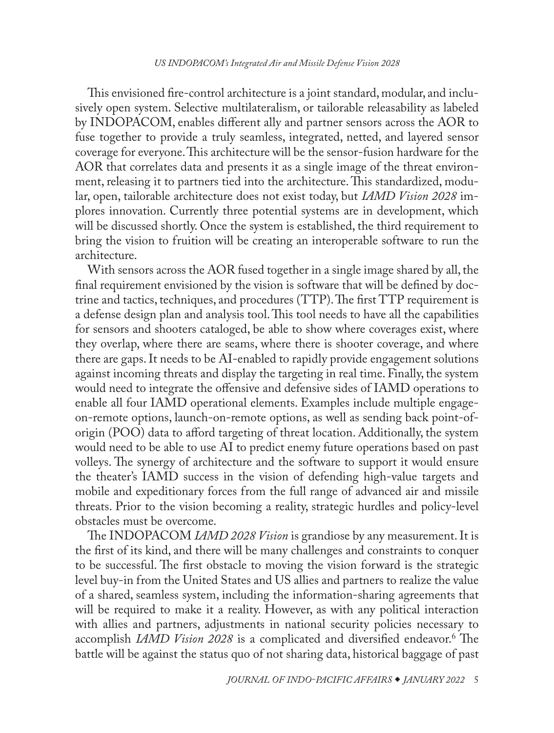This envisioned fire-control architecture is a joint standard, modular, and inclusively open system. Selective multilateralism, or tailorable releasability as labeled by INDOPACOM, enables different ally and partner sensors across the AOR to fuse together to provide a truly seamless, integrated, netted, and layered sensor coverage for everyone. This architecture will be the sensor-fusion hardware for the AOR that correlates data and presents it as a single image of the threat environment, releasing it to partners tied into the architecture. This standardized, modular, open, tailorable architecture does not exist today, but *IAMD Vision 2028* implores innovation. Currently three potential systems are in development, which will be discussed shortly. Once the system is established, the third requirement to bring the vision to fruition will be creating an interoperable software to run the architecture.

With sensors across the AOR fused together in a single image shared by all, the final requirement envisioned by the vision is software that will be defined by doctrine and tactics, techniques, and procedures (TTP). The first TTP requirement is a defense design plan and analysis tool. This tool needs to have all the capabilities for sensors and shooters cataloged, be able to show where coverages exist, where they overlap, where there are seams, where there is shooter coverage, and where there are gaps. It needs to be AI-enabled to rapidly provide engagement solutions against incoming threats and display the targeting in real time. Finally, the system would need to integrate the offensive and defensive sides of IAMD operations to enable all four IAMD operational elements. Examples include multiple engageon-remote options, launch-on-remote options, as well as sending back point-oforigin (POO) data to afford targeting of threat location. Additionally, the system would need to be able to use AI to predict enemy future operations based on past volleys. The synergy of architecture and the software to support it would ensure the theater's IAMD success in the vision of defending high-value targets and mobile and expeditionary forces from the full range of advanced air and missile threats. Prior to the vision becoming a reality, strategic hurdles and policy-level obstacles must be overcome.

The INDOPACOM *IAMD 2028 Vision* is grandiose by any measurement. It is the first of its kind, and there will be many challenges and constraints to conquer to be successful. The first obstacle to moving the vision forward is the strategic level buy-in from the United States and US allies and partners to realize the value of a shared, seamless system, including the information-sharing agreements that will be required to make it a reality. However, as with any political interaction with allies and partners, adjustments in national security policies necessary to accomplish *IAMD Vision 2028* is a complicated and diversified endeavor.<sup>6</sup> The battle will be against the status quo of not sharing data, historical baggage of past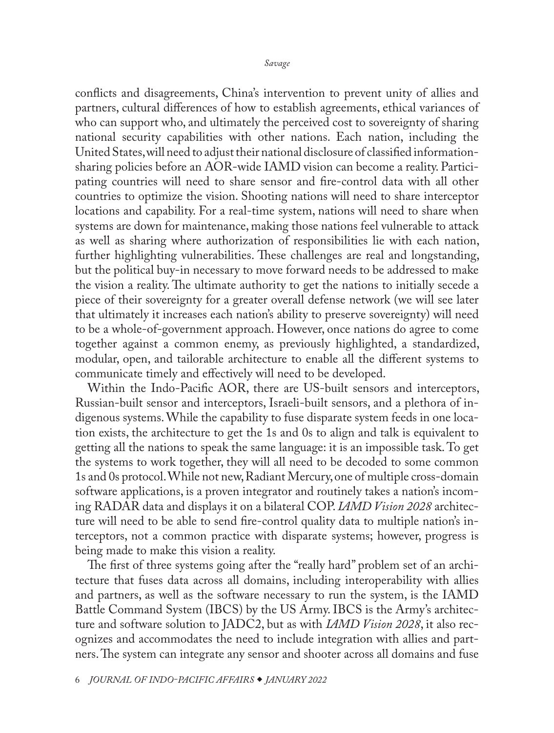conflicts and disagreements, China's intervention to prevent unity of allies and partners, cultural differences of how to establish agreements, ethical variances of who can support who, and ultimately the perceived cost to sovereignty of sharing national security capabilities with other nations. Each nation, including the United States, will need to adjust their national disclosure of classified informationsharing policies before an AOR-wide IAMD vision can become a reality. Participating countries will need to share sensor and fire-control data with all other countries to optimize the vision. Shooting nations will need to share interceptor locations and capability. For a real-time system, nations will need to share when systems are down for maintenance, making those nations feel vulnerable to attack as well as sharing where authorization of responsibilities lie with each nation, further highlighting vulnerabilities. These challenges are real and longstanding, but the political buy-in necessary to move forward needs to be addressed to make the vision a reality. The ultimate authority to get the nations to initially secede a piece of their sovereignty for a greater overall defense network (we will see later that ultimately it increases each nation's ability to preserve sovereignty) will need to be a whole-of-government approach. However, once nations do agree to come together against a common enemy, as previously highlighted, a standardized, modular, open, and tailorable architecture to enable all the different systems to communicate timely and effectively will need to be developed.

Within the Indo-Pacific AOR, there are US-built sensors and interceptors, Russian-built sensor and interceptors, Israeli-built sensors, and a plethora of indigenous systems. While the capability to fuse disparate system feeds in one location exists, the architecture to get the 1s and 0s to align and talk is equivalent to getting all the nations to speak the same language: it is an impossible task. To get the systems to work together, they will all need to be decoded to some common 1s and 0s protocol. While not new, Radiant Mercury, one of multiple cross-domain software applications, is a proven integrator and routinely takes a nation's incoming RADAR data and displays it on a bilateral COP. *IAMD Vision 2028* architecture will need to be able to send fire-control quality data to multiple nation's interceptors, not a common practice with disparate systems; however, progress is being made to make this vision a reality.

The first of three systems going after the "really hard" problem set of an architecture that fuses data across all domains, including interoperability with allies and partners, as well as the software necessary to run the system, is the IAMD Battle Command System (IBCS) by the US Army. IBCS is the Army's architecture and software solution to JADC2, but as with *IAMD Vision 2028*, it also recognizes and accommodates the need to include integration with allies and partners. The system can integrate any sensor and shooter across all domains and fuse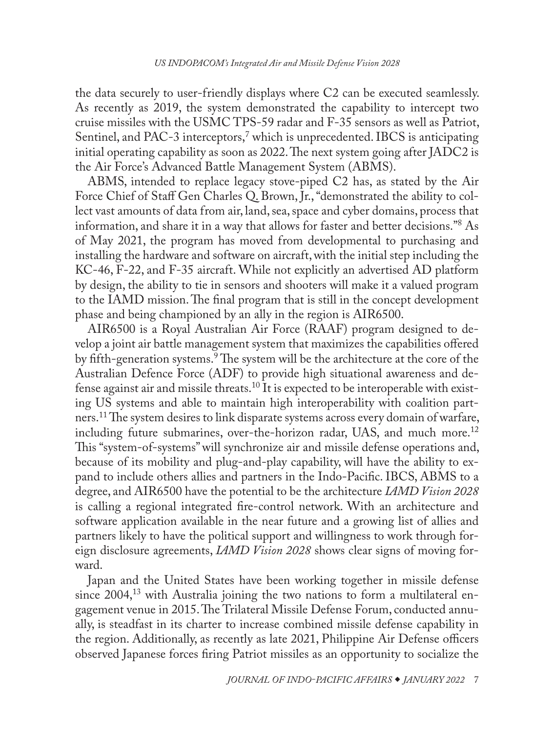the data securely to user-friendly displays where C2 can be executed seamlessly. As recently as 2019, the system demonstrated the capability to intercept two cruise missiles with the USMC TPS-59 radar and F-35 sensors as well as Patriot, Sentinel, and PAC-3 interceptors,<sup>7</sup> which is unprecedented. IBCS is anticipating initial operating capability as soon as 2022. The next system going after JADC2 is the Air Force's Advanced Battle Management System (ABMS).

ABMS, intended to replace legacy stove-piped C2 has, as stated by the Air Force Chief of Staff Gen Charles Q. Brown, Jr., "demonstrated the ability to collect vast amounts of data from air, land, sea, space and cyber domains, process that information, and share it in a way that allows for faster and better decisions."8 As of May 2021, the program has moved from developmental to purchasing and installing the hardware and software on aircraft, with the initial step including the KC-46, F-22, and F-35 aircraft. While not explicitly an advertised AD platform by design, the ability to tie in sensors and shooters will make it a valued program to the IAMD mission. The final program that is still in the concept development phase and being championed by an ally in the region is AIR6500.

AIR6500 is a Royal Australian Air Force (RAAF) program designed to develop a joint air battle management system that maximizes the capabilities offered by fifth-generation systems.<sup>9</sup> The system will be the architecture at the core of the Australian Defence Force (ADF) to provide high situational awareness and defense against air and missile threats.10 It is expected to be interoperable with existing US systems and able to maintain high interoperability with coalition partners.11 The system desires to link disparate systems across every domain of warfare, including future submarines, over-the-horizon radar, UAS, and much more.<sup>12</sup> This "system-of-systems" will synchronize air and missile defense operations and, because of its mobility and plug-and-play capability, will have the ability to expand to include others allies and partners in the Indo-Pacific. IBCS, ABMS to a degree, and AIR6500 have the potential to be the architecture *IAMD Vision 2028* is calling a regional integrated fire-control network. With an architecture and software application available in the near future and a growing list of allies and partners likely to have the political support and willingness to work through foreign disclosure agreements, *IAMD Vision 2028* shows clear signs of moving forward.

Japan and the United States have been working together in missile defense since 2004,<sup>13</sup> with Australia joining the two nations to form a multilateral engagement venue in 2015. The Trilateral Missile Defense Forum, conducted annually, is steadfast in its charter to increase combined missile defense capability in the region. Additionally, as recently as late 2021, Philippine Air Defense officers observed Japanese forces firing Patriot missiles as an opportunity to socialize the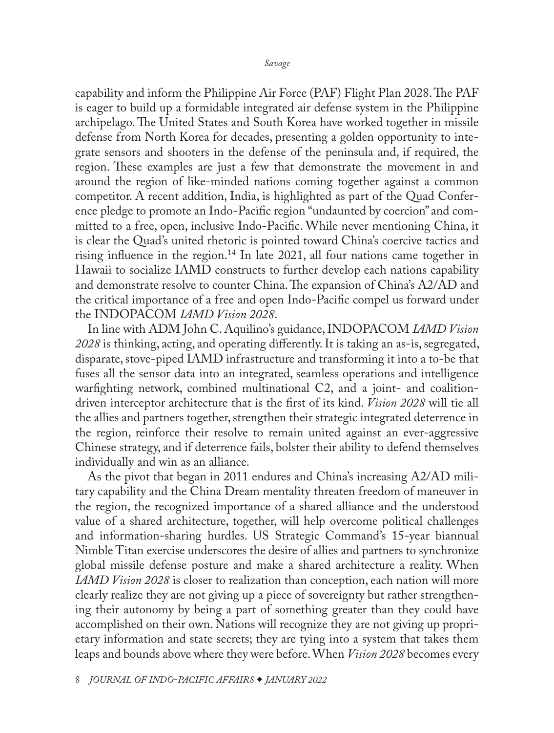capability and inform the Philippine Air Force (PAF) Flight Plan 2028. The PAF is eager to build up a formidable integrated air defense system in the Philippine archipelago. The United States and South Korea have worked together in missile defense from North Korea for decades, presenting a golden opportunity to integrate sensors and shooters in the defense of the peninsula and, if required, the region. These examples are just a few that demonstrate the movement in and around the region of like-minded nations coming together against a common competitor. A recent addition, India, is highlighted as part of the Quad Conference pledge to promote an Indo-Pacific region "undaunted by coercion" and committed to a free, open, inclusive Indo-Pacific. While never mentioning China, it is clear the Quad's united rhetoric is pointed toward China's coercive tactics and rising influence in the region.<sup>14</sup> In late 2021, all four nations came together in Hawaii to socialize IAMD constructs to further develop each nations capability and demonstrate resolve to counter China. The expansion of China's A2/AD and the critical importance of a free and open Indo-Pacific compel us forward under the INDOPACOM *IAMD Vision 2028*.

In line with ADM John C. Aquilino's guidance, INDOPACOM *IAMD Vision 2028* is thinking, acting, and operating differently. It is taking an as-is, segregated, disparate, stove-piped IAMD infrastructure and transforming it into a to-be that fuses all the sensor data into an integrated, seamless operations and intelligence warfighting network, combined multinational C2, and a joint- and coalitiondriven interceptor architecture that is the first of its kind. *Vision 2028* will tie all the allies and partners together, strengthen their strategic integrated deterrence in the region, reinforce their resolve to remain united against an ever-aggressive Chinese strategy, and if deterrence fails, bolster their ability to defend themselves individually and win as an alliance.

As the pivot that began in 2011 endures and China's increasing A2/AD military capability and the China Dream mentality threaten freedom of maneuver in the region, the recognized importance of a shared alliance and the understood value of a shared architecture, together, will help overcome political challenges and information-sharing hurdles. US Strategic Command's 15-year biannual Nimble Titan exercise underscores the desire of allies and partners to synchronize global missile defense posture and make a shared architecture a reality. When *IAMD Vision 2028* is closer to realization than conception, each nation will more clearly realize they are not giving up a piece of sovereignty but rather strengthening their autonomy by being a part of something greater than they could have accomplished on their own. Nations will recognize they are not giving up proprietary information and state secrets; they are tying into a system that takes them leaps and bounds above where they were before. When *Vision 2028* becomes every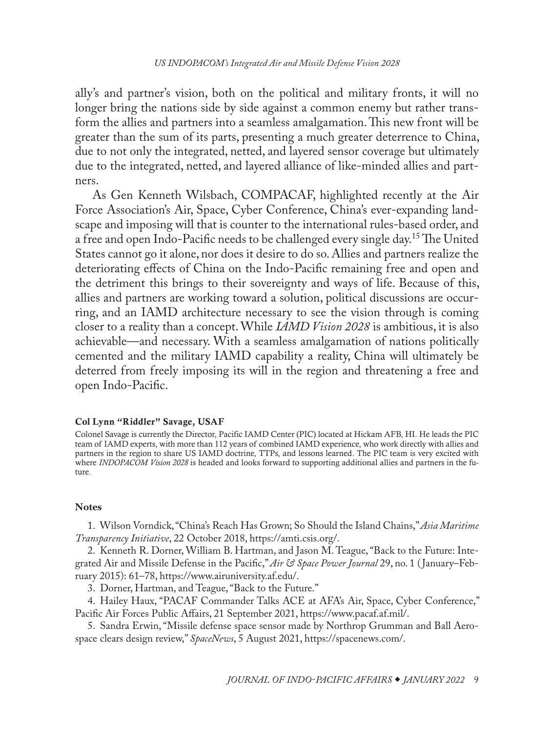<span id="page-8-0"></span>ally's and partner's vision, both on the political and military fronts, it will no longer bring the nations side by side against a common enemy but rather transform the allies and partners into a seamless amalgamation. This new front will be greater than the sum of its parts, presenting a much greater deterrence to China, due to not only the integrated, netted, and layered sensor coverage but ultimately due to the integrated, netted, and layered alliance of like-minded allies and partners.

 As Gen Kenneth Wilsbach, COMPACAF, highlighted recently at the Air Force Association's Air, Space, Cyber Conference, China's ever-expanding landscape and imposing will that is counter to the international rules-based order, and a free and open Indo-Pacific needs to be challenged every single day.15 The United States cannot go it alone, nor does it desire to do so. Allies and partners realize the deteriorating effects of China on the Indo-Pacific remaining free and open and the detriment this brings to their sovereignty and ways of life. Because of this, allies and partners are working toward a solution, political discussions are occurring, and an IAMD architecture necessary to see the vision through is coming closer to a reality than a concept. While *IAMD Vision 2028* is ambitious, it is also achievable—and necessary. With a seamless amalgamation of nations politically cemented and the military IAMD capability a reality, China will ultimately be deterred from freely imposing its will in the region and threatening a free and open Indo-Pacific.

#### Col Lynn "Riddler" Savage, USAF

Colonel Savage is currently the Director, Pacific IAMD Center (PIC) located at Hickam AFB, HI. He leads the PIC team of IAMD experts, with more than 112 years of combined IAMD experience, who work directly with allies and [partners in the region to share US IAMD doctrine, TTPs, and lessons learned. The PIC team is very excited with](#page-0-0)  where *INDOPACOM Vision 2028* is headed and looks forward to supporting additional allies and partners in the future.

#### **Notes**

1. Wilson Vorndick, "China's Reach Has Grown; So Should the Island Chains," *Asia Maritime Transparency Initiative*, 22 October 2018, https://amti.csis.org/.

2. Kenneth R. Dorner, William B. Hartman, and Jason M. Teague, "Back to the Future: Integrated Air and Missile Defense in the Pacific," *Air & Space Power Journal* 29, no. 1 ( January–February 2015): 61–78, https://www.airuniversity.af.edu/.

3. Dorner, Hartman, and Teague, "Back to the Future."

4. Hailey Haux, "PACAF Commander Talks ACE at AFA's Air, Space, Cyber Conference," Pacific Air Forces Public Affairs, 21 September 2021, https://www.pacaf.af.mil/.

5. Sandra Erwin, "Missile defense space sensor made by Northrop Grumman and Ball Aerospace clears design review," *SpaceNews*, 5 August 2021, https://spacenews.com/.